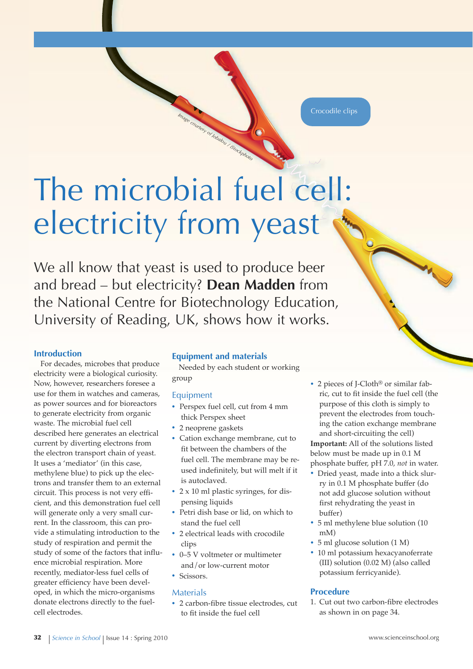Crocodile clips

# The microbial fuel cell: electricity from yeast

*Image courtesy of Jobalou / iStockphoto*

We all know that yeast is used to produce beer and bread – but electricity? **Dean Madden** from the National Centre for Biotechnology Education, University of Reading, UK, shows how it works.

# **Introduction**

For decades, microbes that produce electricity were a biological curiosity. Now, however, researchers foresee a use for them in watches and cameras, as power sources and for bioreactors to generate electricity from organic waste. The microbial fuel cell described here generates an electrical current by diverting electrons from the electron transport chain of yeast. It uses a 'mediator' (in this case, methylene blue) to pick up the electrons and transfer them to an external circuit. This process is not very efficient, and this demonstration fuel cell will generate only a very small current. In the classroom, this can provide a stimulating introduction to the study of respiration and permit the study of some of the factors that influence microbial respiration. More recently, mediator-less fuel cells of greater efficiency have been developed, in which the micro-organisms donate electrons directly to the fuelcell electrodes.

# **Equipment and materials**

Needed by each student or working group

# Equipment

- **·** Perspex fuel cell, cut from <sup>4</sup> mm thick Perspex sheet
- **·** <sup>2</sup> neoprene gaskets
- **·** Cation exchange membrane, cut to fit between the chambers of the fuel cell. The membrane may be reused indefinitely, but will melt if it is autoclaved.
- **·** <sup>2</sup> <sup>x</sup> <sup>10</sup> ml plastic syringes, for dispensing liquids
- **·** Petri dish base or lid, on which to stand the fuel cell
- **·** <sup>2</sup> electrical leads with crocodile clips
- **·** 0–5 <sup>V</sup> voltmeter or multimeter and/or low-current motor
- **·** Scissors.

#### Materials

**·** <sup>2</sup> carbon-fibre tissue electrodes, cut to fit inside the fuel cell

**·** <sup>2</sup> pieces of J-Cloth® or similar fabric, cut to fit inside the fuel cell (the purpose of this cloth is simply to prevent the electrodes from touching the cation exchange membrane and short-circuiting the cell)

**Important:** All of the solutions listed below must be made up in 0.1 M phosphate buffer, pH 7.0, *not* in water.

- **·** Dried yeast, made into <sup>a</sup> thick slurry in 0.1 M phosphate buffer (do not add glucose solution without first rehydrating the yeast in buffer)
- **·** <sup>5</sup> ml methylene blue solution (10 mM)
- **·** <sup>5</sup> ml glucose solution (1 M)
- **·** <sup>10</sup> ml potassium hexacyanoferrate (III) solution (0.02 M) (also called potassium ferricyanide).

# **Procedure**

1. Cut out two carbon-fibre electrodes as shown in on page 34.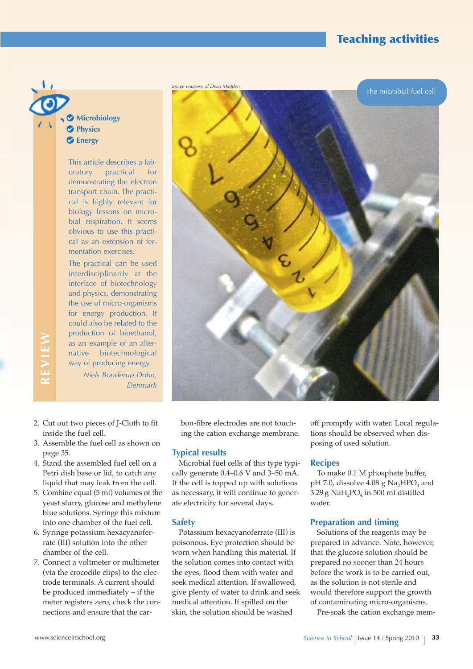# **Teaching activities**

**Microbiology Physics Energy**

> This article describes a laboratory practical for demonstrating the electron transport chain. The practical is highly relevant for biology lessons on microbial respiration. It seems obvious to use this practical as an extension of fermentation exercises.

> The practical can be used interdisciplinarily at the interface of biotechnology and physics, demonstrating the use of micro-organisms for energy production. It could also be related to the production of bioethanol, as an example of an alternative biotechnological way of producing energy. *Niels Bonderup Dohn,* **<sup>R</sup>***Denmark*



bon-fibre electrodes are not touching the cation exchange membrane.

#### **Typical results**

Microbial fuel cells of this type typically generate 0.4–0.6 V and 3–50 mA. If the cell is topped up with solutions as necessary, it will continue to generate electricity for several days.

#### **Safety**

Potassium hexacyanoferrate (III) is poisonous. Eye protection should be worn when handling this material. If the solution comes into contact with the eyes, flood them with water and seek medical attention. If swallowed, give plenty of water to drink and seek medical attention. If spilled on the skin, the solution should be washed

off promptly with water. Local regulations should be observed when disposing of used solution.

#### **Recipes**

To make 0.1 M phosphate buffer, pH 7.0, dissolve  $4.08$  g Na<sub>2</sub>HPO<sub>4</sub> and  $3.29$  g NaH<sub>2</sub>PO<sub>4</sub> in 500 ml distilled water.

#### **Preparation and timing**

Solutions of the reagents may be prepared in advance. Note, however, that the glucose solution should be prepared no sooner than 24 hours before the work is to be carried out, as the solution is not sterile and would therefore support the growth of contaminating micro-organisms.

Pre-soak the cation exchange mem-

- 2. Cut out two pieces of J-Cloth to fit inside the fuel cell.
- 3. Assemble the fuel cell as shown on page 35.
- 4. Stand the assembled fuel cell on a Petri dish base or lid, to catch any liquid that may leak from the cell.
- 5. Combine equal (5 ml) volumes of the yeast slurry, glucose and methylene blue solutions. Syringe this mixture into one chamber of the fuel cell.
- 6. Syringe potassium hexacyanoferrate (III) solution into the other chamber of the cell.
- 7. Connect a voltmeter or multimeter (via the crocodile clips) to the electrode terminals. A current should be produced immediately – if the meter registers zero, check the connections and ensure that the car-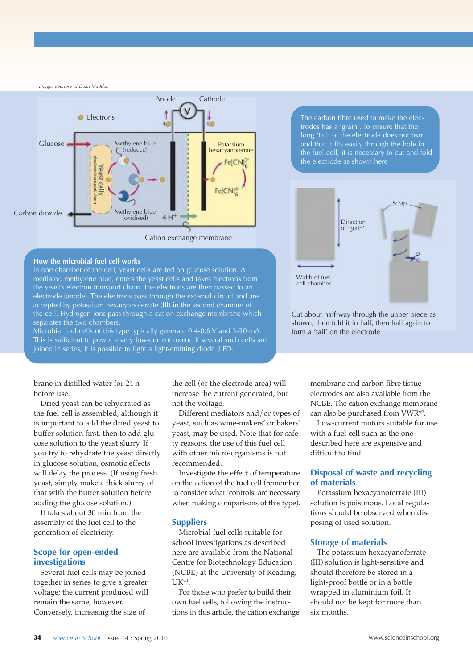*Images courtesy of Dean Madden*



#### **How the microbial fuel cell works**

In one chamber of the cell, yeast cells are fed on glucose solution. A mediator, methylene blue, enters the yeast cells and takes electrons from the yeast's electron transport chain. The electrons are then passed to an electrode (anode). The electrons pass through the external circuit and are accepted by potassium hexacyanoferrate (III) in the second chamber of the cell. Hydrogen ions pass through a cation exchange membrane which separates the two chambers.

Microbial fuel cells of this type typically generate 0.4-0.6 V and 3-50 mA. This is sufficient to power a very low-current motor. If several such cells are joined in series, it is possible to light a light-emitting diode (LED)

The carbon fibre used to make the electrodes has a 'grain'. To ensure that the long 'tail' of the electrode does not tear and that it fits easily through the hole in the fuel cell, it is necessary to cut and fold the electrode as shown here



Cut about half-way through the upper piece as shown, then fold it in half, then half again to form a 'tail' on the electrode

brane in distilled water for 24 h before use.

Dried yeast can be rehydrated as the fuel cell is assembled, although it is important to add the dried yeast to buffer solution first, then to add glucose solution to the yeast slurry. If you try to rehydrate the yeast directly in glucose solution, osmotic effects will delay the process. (If using fresh yeast, simply make a thick slurry of that with the buffer solution before adding the glucose solution.)

It takes about 30 min from the assembly of the fuel cell to the generation of electricity.

### **Scope for open-ended investigations**

Several fuel cells may be joined together in series to give a greater voltage; the current produced will remain the same, however. Conversely, increasing the size of

the cell (or the electrode area) will increase the current generated, but not the voltage.

Different mediators and/or types of yeast, such as wine-makers' or bakers' yeast, may be used. Note that for safety reasons, the use of this fuel cell with other micro-organisms is not recommended.

Investigate the effect of temperature on the action of the fuel cell (remember to consider what 'controls' are necessary when making comparisons of this type).

#### **Suppliers**

Microbial fuel cells suitable for school investigations as described here are available from the National Centre for Biotechnology Education (NCBE) at the University of Reading,  $UK^{\text{w1}}$ .

For those who prefer to build their own fuel cells, following the instructions in this article, the cation exchange membrane and carbon-fibre tissue electrodes are also available from the NCBE. The cation exchange membrane can also be purchased from VWR<sup>w2</sup>.

Low-current motors suitable for use with a fuel cell such as the one described here are expensive and difficult to find.

# **disposal of waste and recycling of materials**

Potassium hexacyanoferrate (III) solution is poisonous. Local regulations should be observed when disposing of used solution.

#### **Storage of materials**

The potassium hexacyanoferrate (III) solution is light-sensitive and should therefore be stored in a light-proof bottle or in a bottle wrapped in aluminium foil. It should not be kept for more than six months.